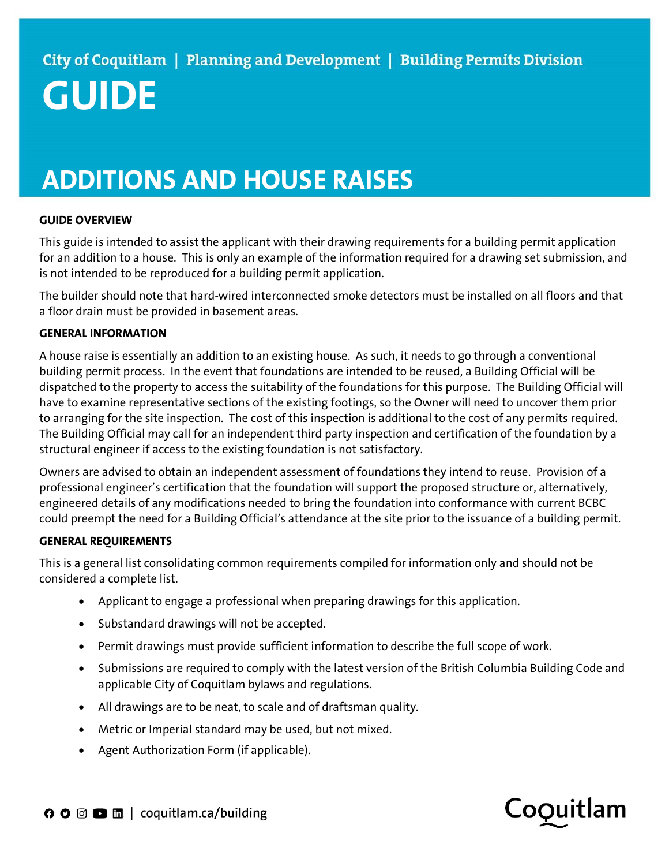# GUIDE

## ADDITIONS AND HOUSE RAISES

#### GUIDE OVERVIEW

This guide is intended to assist the applicant with their drawing requirements for a building permit application for an addition to a house. This is only an example of the information required for a drawing set submission, and is not intended to be reproduced for a building permit application.

The builder should note that hard-wired interconnected smoke detectors must be installed on all floors and that a floor drain must be provided in basement areas.

#### GENERAL INFORMATION

A house raise is essentially an addition to an existing house. As such, it needs to go through a conventional building permit process. In the event that foundations are intended to be reused, a Building Official will be dispatched to the property to access the suitability of the foundations for this purpose. The Building Official will have to examine representative sections of the existing footings, so the Owner will need to uncover them prior to arranging for the site inspection. The cost of this inspection is additional to the cost of any permits required. The Building Official may call for an independent third party inspection and certification of the foundation by a structural engineer if access to the existing foundation is not satisfactory.

Owners are advised to obtain an independent assessment of foundations they intend to reuse. Provision of a professional engineer's certification that the foundation will support the proposed structure or, alternatively, engineered details of any modifications needed to bring the foundation into conformance with current BCBC could preempt the need for a Building Official's attendance at the site prior to the issuance of a building permit.

### GENERAL REQUIREMENTS

This is a general list consolidating common requirements compiled for information only and should not be considered a complete list.

- Applicant to engage a professional when preparing drawings for this application.
- Substandard drawings will not be accepted.
- Permit drawings must provide sufficient information to describe the full scope of work.
- Submissions are required to comply with the latest version of the British Columbia Building Code and applicable City of Coquitlam bylaws and regulations.
- All drawings are to be neat, to scale and of draftsman quality.
- Metric or Imperial standard may be used, but not mixed.
- Agent Authorization Form (if applicable).